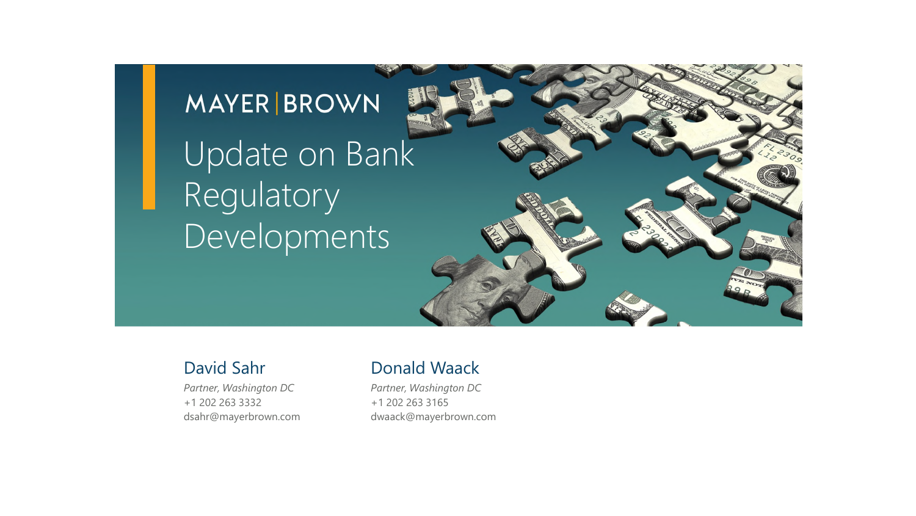## **MAYER BROWN** Update on Bank Regulatory Developments

*Partner, Washington DC* +1 202 263 3332 dsahr@mayerbrown.com

#### David Sahr Donald Waack

*Partner, Washington DC* +1 202 263 3165 dwaack@mayerbrown.com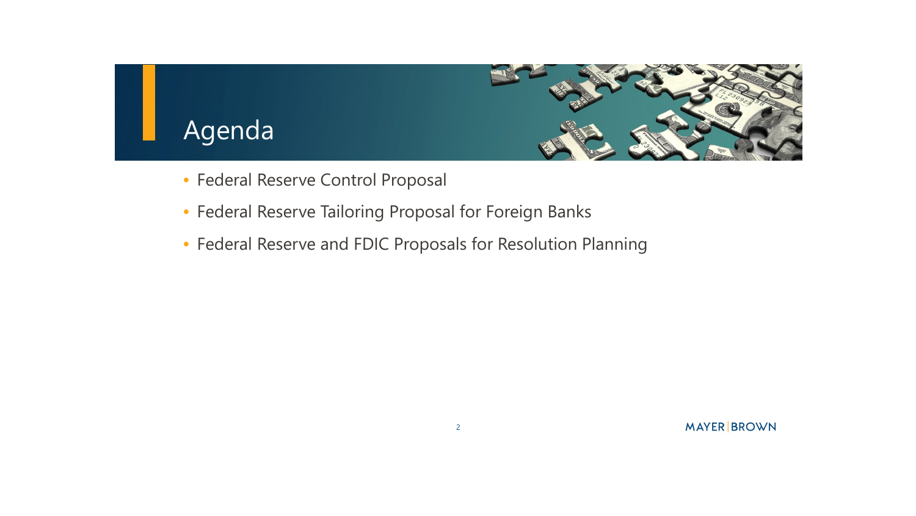

- Federal Reserve Control Proposal
- Federal Reserve Tailoring Proposal for Foreign Banks
- Federal Reserve and FDIC Proposals for Resolution Planning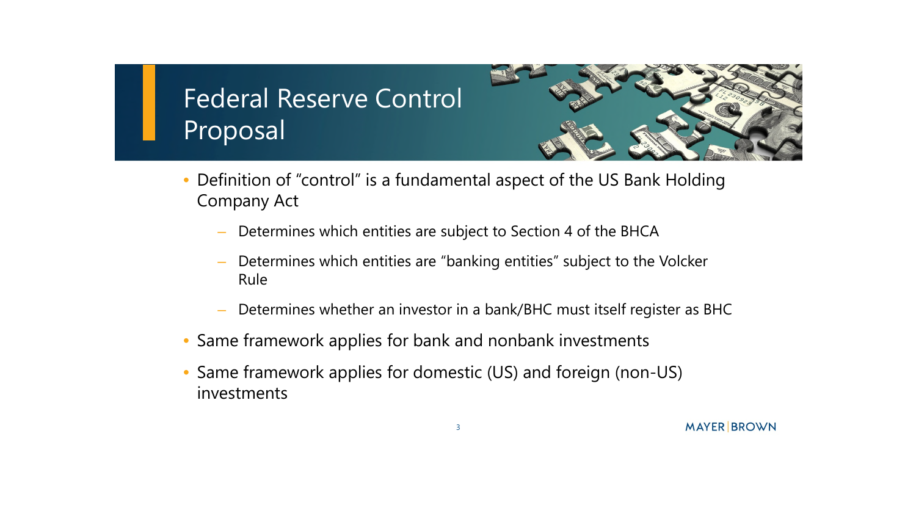

- Definition of "control" is a fundamental aspect of the US Bank Holding Company Act
	- Determines which entities are subject to Section 4 of the BHCA
	- Determines which entities are "banking entities" subject to the Volcker Rule
	- Determines whether an investor in a bank/BHC must itself register as BHC
- Same framework applies for bank and nonbank investments
- Same framework applies for domestic (US) and foreign (non-US) investments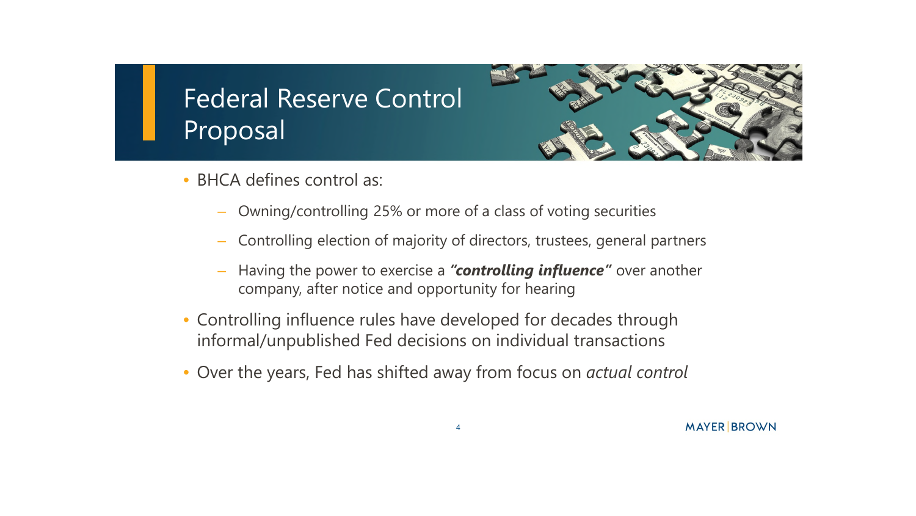- BHCA defines control as:
	- Owning/controlling 25% or more of a class of voting securities
	- Controlling election of majority of directors, trustees, general partners
	- Having the power to exercise a *"controlling influence"* over another company, after notice and opportunity for hearing
- Controlling influence rules have developed for decades through informal/unpublished Fed decisions on individual transactions
- Over the years, Fed has shifted away from focus on *actual control*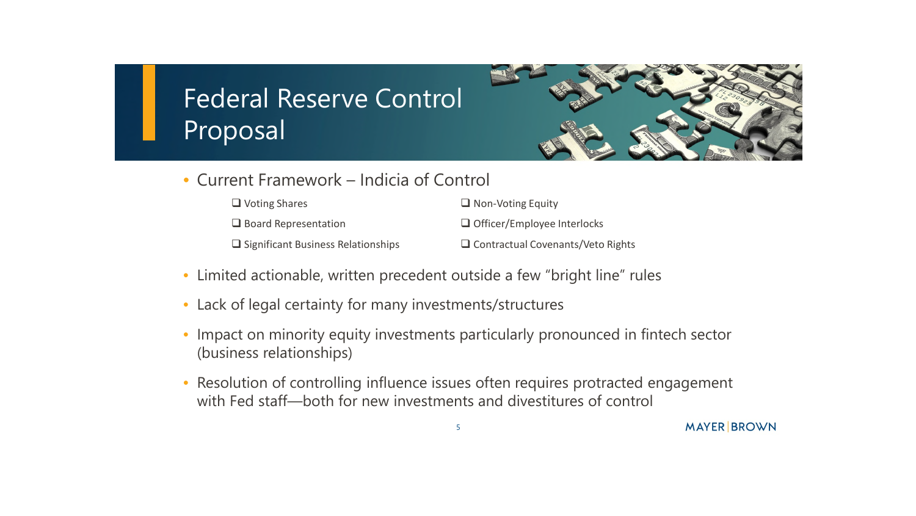

• Current Framework – Indicia of Control

| $\Box$ Voting Shares                      | $\Box$ Non-Voting Equity                 |
|-------------------------------------------|------------------------------------------|
| $\Box$ Board Representation               | $\Box$ Officer/Employee Interlocks       |
| $\Box$ Significant Business Relationships | $\Box$ Contractual Covenants/Veto Rights |

- Limited actionable, written precedent outside a few "bright line" rules
- Lack of legal certainty for many investments/structures
- Impact on minority equity investments particularly pronounced in fintech sector (business relationships)
- Resolution of controlling influence issues often requires protracted engagement with Fed staff—both for new investments and divestitures of control

5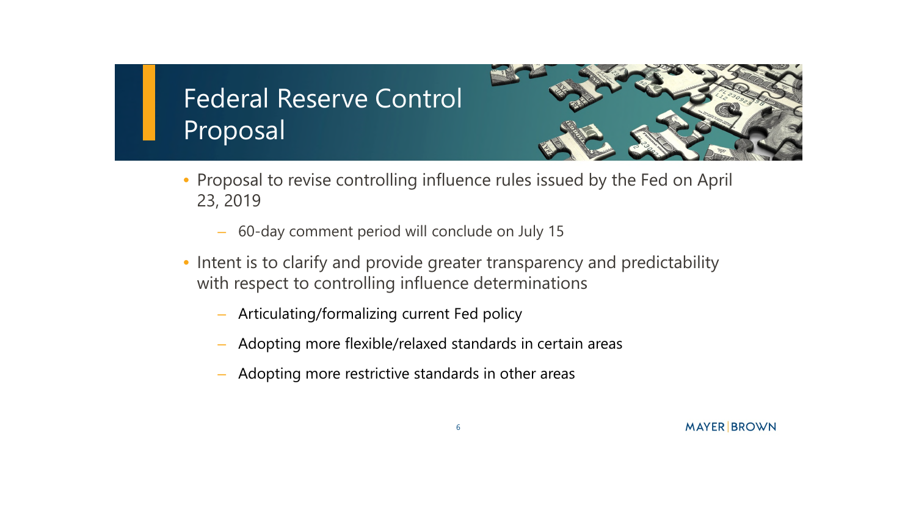

- Proposal to revise controlling influence rules issued by the Fed on April 23, 2019
	- 60-day comment period will conclude on July 15
- Intent is to clarify and provide greater transparency and predictability with respect to controlling influence determinations
	- Articulating/formalizing current Fed policy
	- Adopting more flexible/relaxed standards in certain areas
	- Adopting more restrictive standards in other areas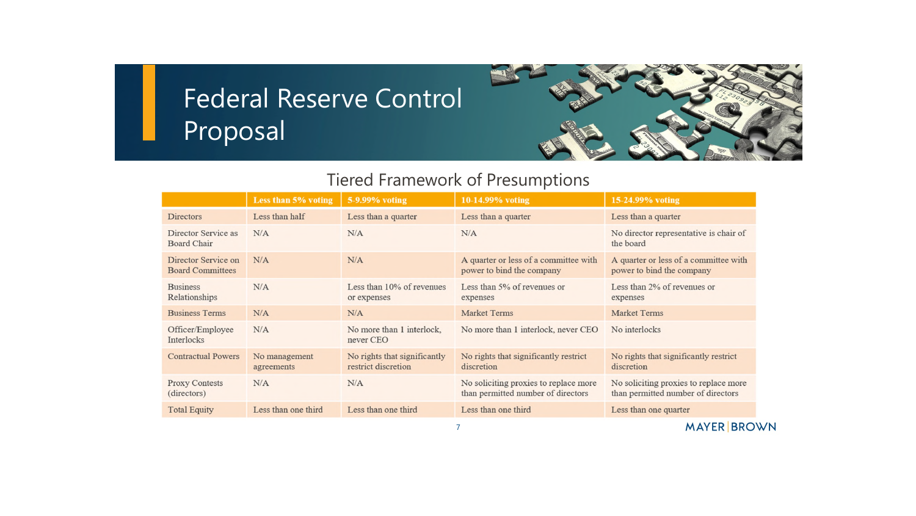

#### Tiered Framework of Presumptions

|                                                | Less than 5% voting         | 5-9.99% voting                                      | 10-14.99% voting                                                            | 15-24.99% voting                                                            |
|------------------------------------------------|-----------------------------|-----------------------------------------------------|-----------------------------------------------------------------------------|-----------------------------------------------------------------------------|
| <b>Directors</b>                               | Less than half              | Less than a quarter                                 | Less than a quarter                                                         | Less than a quarter                                                         |
| Director Service as<br><b>Board Chair</b>      | N/A                         | N/A                                                 | N/A                                                                         | No director representative is chair of<br>the board                         |
| Director Service on<br><b>Board Committees</b> | N/A                         | N/A                                                 | A quarter or less of a committee with<br>power to bind the company          | A quarter or less of a committee with<br>power to bind the company          |
| <b>Business</b><br>Relationships               | N/A                         | Less than 10% of revenues<br>or expenses            | Less than 5% of revenues or<br>expenses                                     | Less than 2% of revenues or<br>expenses                                     |
| <b>Business Terms</b>                          | N/A                         | N/A                                                 | <b>Market Terms</b>                                                         | <b>Market Terms</b>                                                         |
| Officer/Employee<br><b>Interlocks</b>          | N/A                         | No more than 1 interlock,<br>never CEO              | No more than 1 interlock, never CEO                                         | No interlocks                                                               |
| <b>Contractual Powers</b>                      | No management<br>agreements | No rights that significantly<br>restrict discretion | No rights that significantly restrict<br>discretion                         | No rights that significantly restrict<br>discretion                         |
| <b>Proxy Contests</b><br>(directors)           | N/A                         | N/A                                                 | No soliciting proxies to replace more<br>than permitted number of directors | No soliciting proxies to replace more<br>than permitted number of directors |
| <b>Total Equity</b>                            | Less than one third         | Less than one third                                 | Less than one third                                                         | Less than one quarter                                                       |
|                                                |                             |                                                     |                                                                             | $\left\{1,1\right\}$                                                        |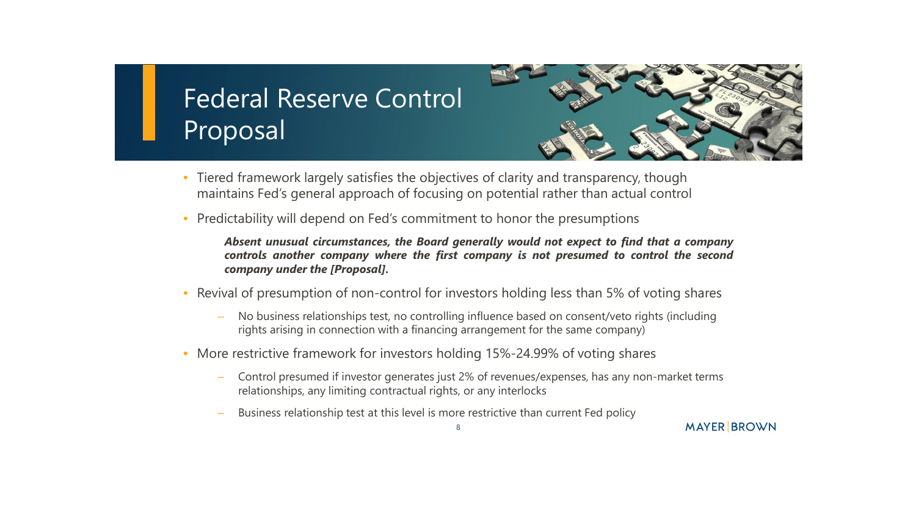- Tiered framework largely satisfies the objectives of clarity and transparency, though maintains Fed's general approach of focusing on potential rather than actual control
- Predictability will depend on Fed's commitment to honor the presumptions

*Absent unusual circumstances, the Board generally would not expect to find that a company controls another company where the first company is not presumed to control the second company under the [Proposal].*

- Revival of presumption of non-control for investors holding less than 5% of voting shares
	- No business relationships test, no controlling influence based on consent/veto rights (including rights arising in connection with a financing arrangement for the same company)
- More restrictive framework for investors holding 15%-24.99% of voting shares
	- Control presumed if investor generates just 2% of revenues/expenses, has any non-market terms relationships, any limiting contractual rights, or any interlocks
	- Business relationship test at this level is more restrictive than current Fed policy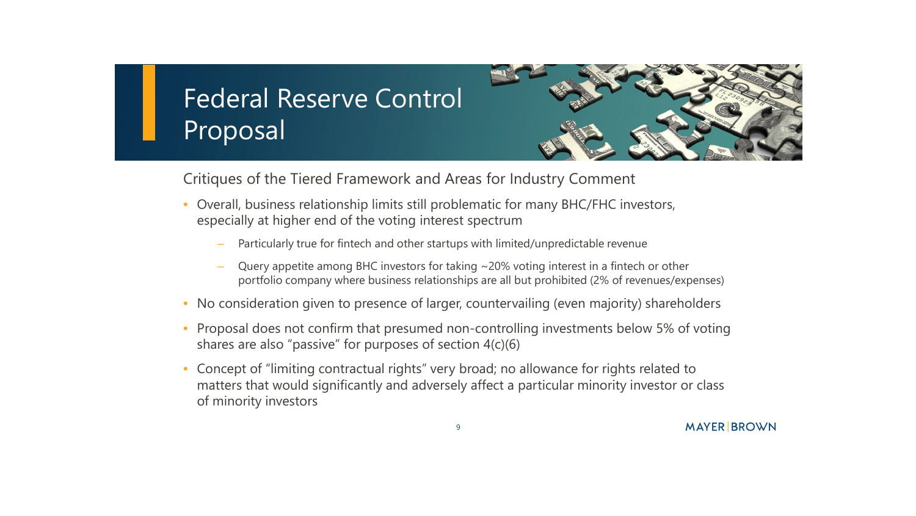Critiques of the Tiered Framework and Areas for Industry Comment

- Overall, business relationship limits still problematic for many BHC/FHC investors, especially at higher end of the voting interest spectrum
	- Particularly true for fintech and other startups with limited/unpredictable revenue
	- Query appetite among BHC investors for taking ~20% voting interest in a fintech or other portfolio company where business relationships are all but prohibited (2% of revenues/expenses)
- No consideration given to presence of larger, countervailing (even majority) shareholders
- Proposal does not confirm that presumed non-controlling investments below 5% of voting shares are also "passive" for purposes of section 4(c)(6)
- Concept of "limiting contractual rights" very broad; no allowance for rights related to matters that would significantly and adversely affect a particular minority investor or class of minority investors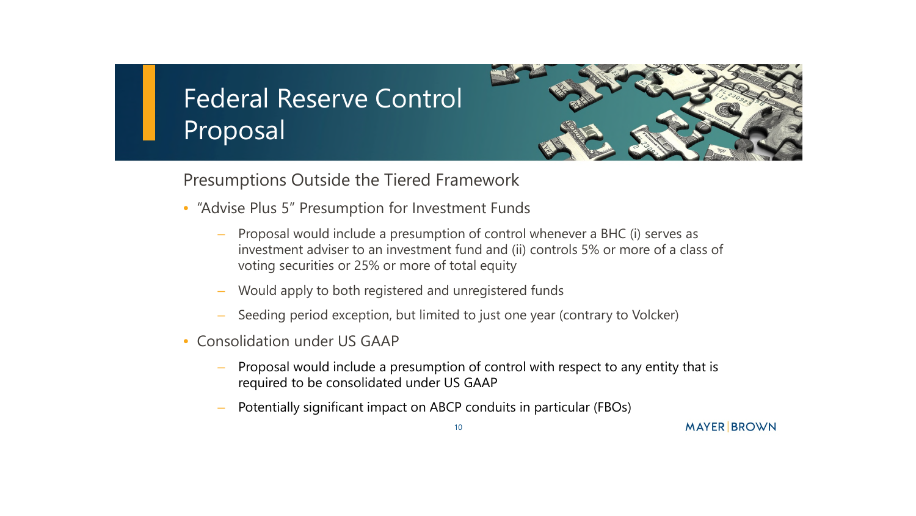

#### Presumptions Outside the Tiered Framework

- "Advise Plus 5" Presumption for Investment Funds
	- Proposal would include a presumption of control whenever a BHC (i) serves as investment adviser to an investment fund and (ii) controls 5% or more of a class of voting securities or 25% or more of total equity
	- Would apply to both registered and unregistered funds
	- Seeding period exception, but limited to just one year (contrary to Volcker)
- Consolidation under US GAAP
	- Proposal would include a presumption of control with respect to any entity that is required to be consolidated under US GAAP
	- Potentially significant impact on ABCP conduits in particular (FBOs)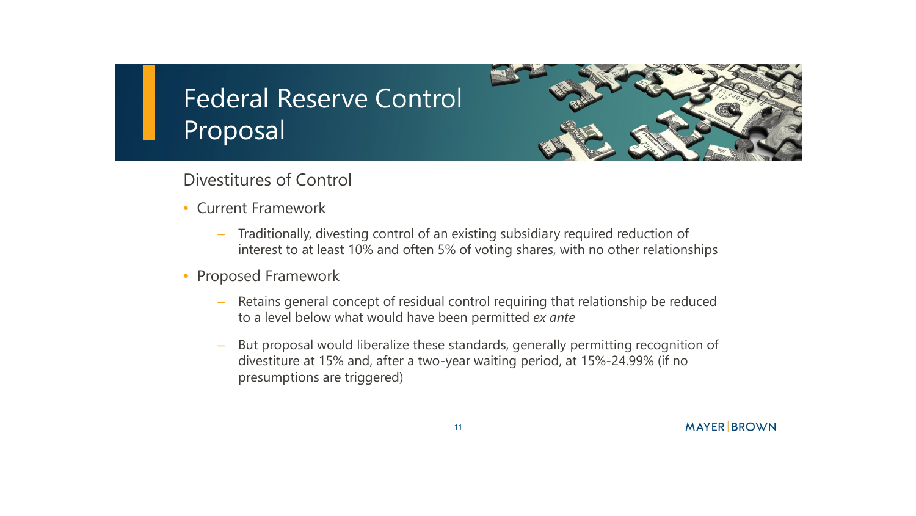

#### Divestitures of Control

- Current Framework
	- Traditionally, divesting control of an existing subsidiary required reduction of interest to at least 10% and often 5% of voting shares, with no other relationships
- Proposed Framework
	- Retains general concept of residual control requiring that relationship be reduced to a level below what would have been permitted *ex ante*
	- But proposal would liberalize these standards, generally permitting recognition of divestiture at 15% and, after a two-year waiting period, at 15%-24.99% (if no presumptions are triggered)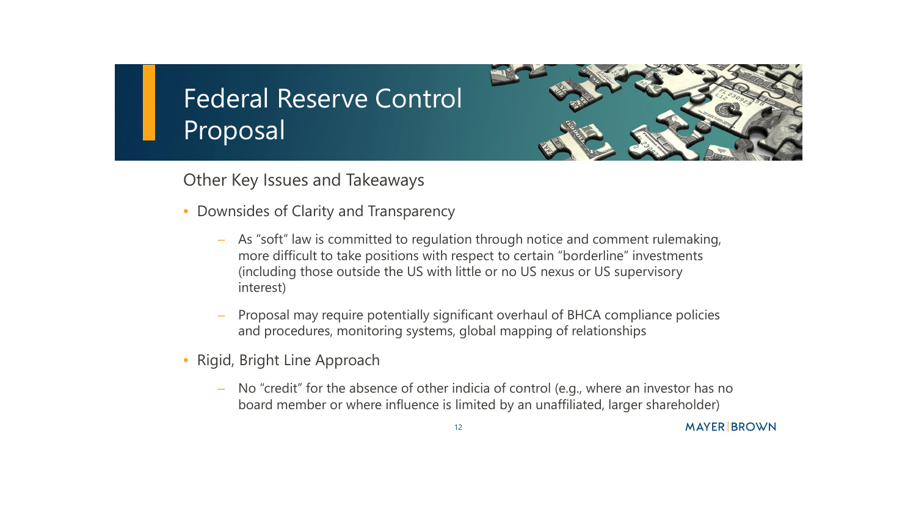

**MAYER BROWN** 

Other Key Issues and Takeaways

- Downsides of Clarity and Transparency
	- As "soft" law is committed to regulation through notice and comment rulemaking, more difficult to take positions with respect to certain "borderline" investments (including those outside the US with little or no US nexus or US supervisory interest)
	- Proposal may require potentially significant overhaul of BHCA compliance policies and procedures, monitoring systems, global mapping of relationships
- Rigid, Bright Line Approach
	- No "credit" for the absence of other indicia of control (e.g., where an investor has no board member or where influence is limited by an unaffiliated, larger shareholder)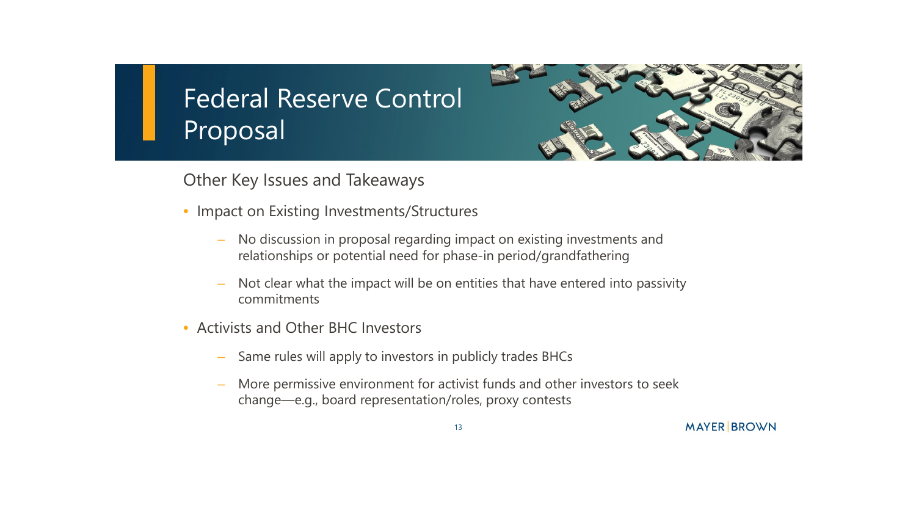

Other Key Issues and Takeaways

- Impact on Existing Investments/Structures
	- No discussion in proposal regarding impact on existing investments and relationships or potential need for phase-in period/grandfathering
	- Not clear what the impact will be on entities that have entered into passivity commitments
- Activists and Other BHC Investors
	- Same rules will apply to investors in publicly trades BHCs
	- More permissive environment for activist funds and other investors to seek change—e.g., board representation/roles, proxy contests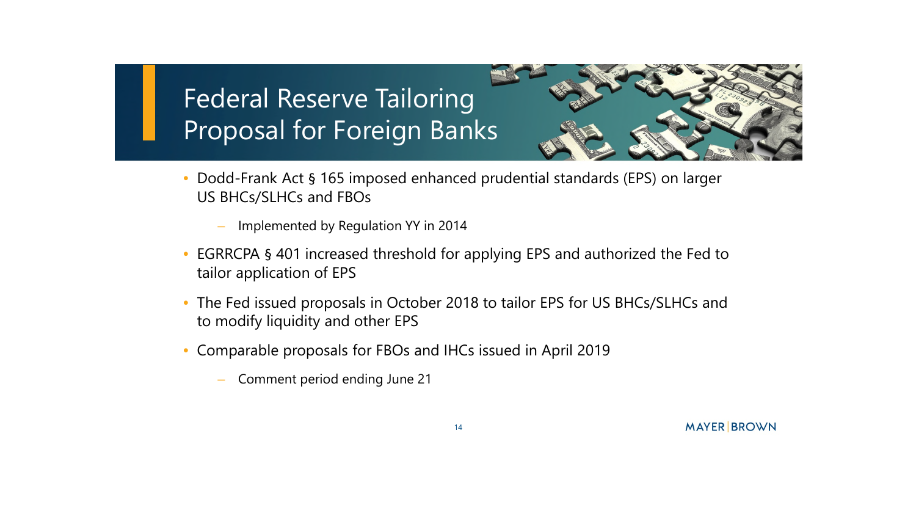

- Dodd-Frank Act § 165 imposed enhanced prudential standards (EPS) on larger US BHCs/SLHCs and FBOs
	- Implemented by Regulation YY in 2014
- EGRRCPA § 401 increased threshold for applying EPS and authorized the Fed to tailor application of EPS
- The Fed issued proposals in October 2018 to tailor EPS for US BHCs/SLHCs and to modify liquidity and other EPS
- Comparable proposals for FBOs and IHCs issued in April 2019
	- Comment period ending June 21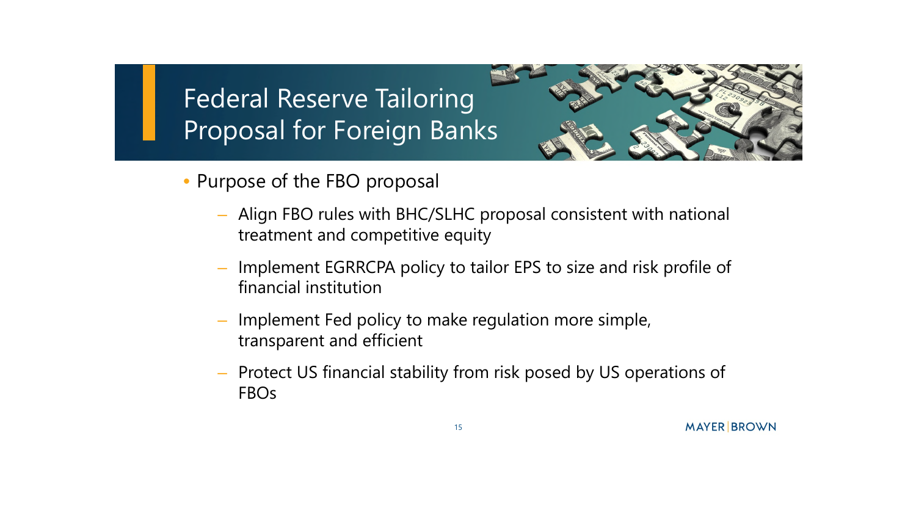

- Purpose of the FBO proposal
	- Align FBO rules with BHC/SLHC proposal consistent with national treatment and competitive equity
	- Implement EGRRCPA policy to tailor EPS to size and risk profile of financial institution
	- Implement Fed policy to make regulation more simple, transparent and efficient
	- Protect US financial stability from risk posed by US operations of FBOs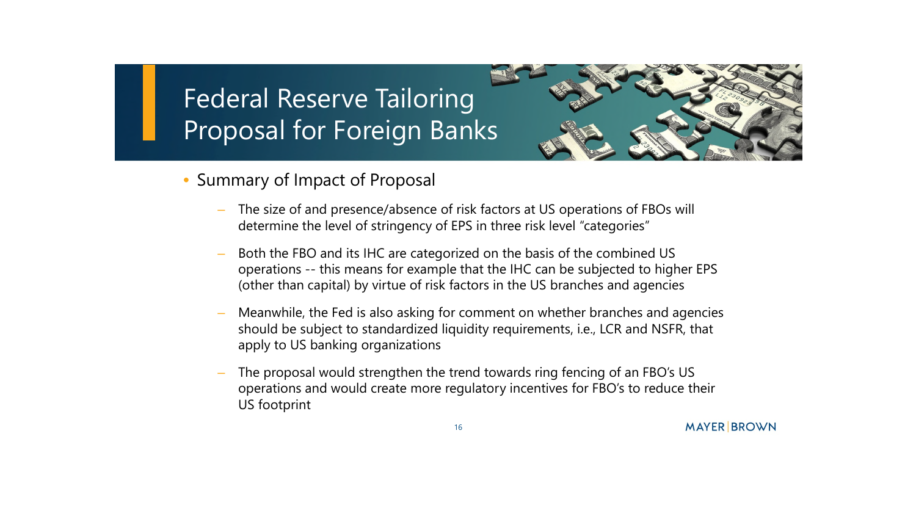

- Summary of Impact of Proposal
	- The size of and presence/absence of risk factors at US operations of FBOs will determine the level of stringency of EPS in three risk level "categories"
	- Both the FBO and its IHC are categorized on the basis of the combined US operations -- this means for example that the IHC can be subjected to higher EPS (other than capital) by virtue of risk factors in the US branches and agencies
	- Meanwhile, the Fed is also asking for comment on whether branches and agencies should be subject to standardized liquidity requirements, i.e., LCR and NSFR, that apply to US banking organizations
	- The proposal would strengthen the trend towards ring fencing of an FBO's US operations and would create more regulatory incentives for FBO's to reduce their US footprint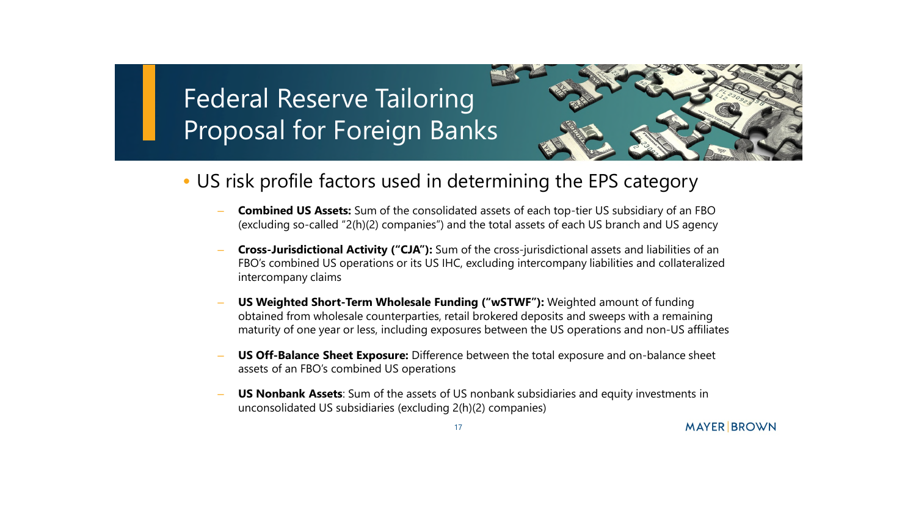

- US risk profile factors used in determining the EPS category
	- **Combined US Assets:** Sum of the consolidated assets of each top-tier US subsidiary of an FBO (excluding so-called "2(h)(2) companies") and the total assets of each US branch and US agency
	- **Cross-Jurisdictional Activity ("CJA"):** Sum of the cross-jurisdictional assets and liabilities of an FBO's combined US operations or its US IHC, excluding intercompany liabilities and collateralized intercompany claims
	- **US Weighted Short-Term Wholesale Funding ("wSTWF"):** Weighted amount of funding obtained from wholesale counterparties, retail brokered deposits and sweeps with a remaining maturity of one year or less, including exposures between the US operations and non-US affiliates
	- **US Off-Balance Sheet Exposure:** Difference between the total exposure and on-balance sheet assets of an FBO's combined US operations
	- **US Nonbank Assets**: Sum of the assets of US nonbank subsidiaries and equity investments in unconsolidated US subsidiaries (excluding 2(h)(2) companies)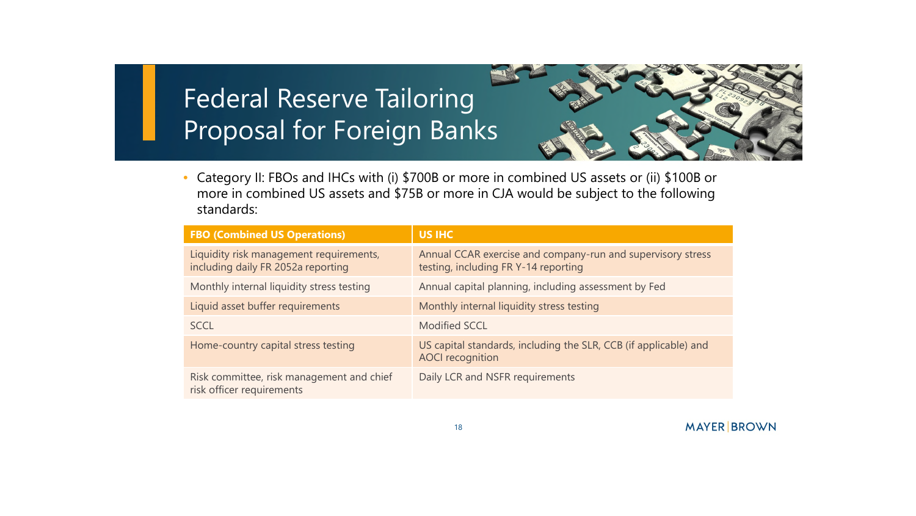

• Category II: FBOs and IHCs with (i) \$700B or more in combined US assets or (ii) \$100B or more in combined US assets and \$75B or more in CJA would be subject to the following standards:

| <b>FBO (Combined US Operations)</b>                                           | <b>US IHC</b>                                                                                       |
|-------------------------------------------------------------------------------|-----------------------------------------------------------------------------------------------------|
| Liquidity risk management requirements,<br>including daily FR 2052a reporting | Annual CCAR exercise and company-run and supervisory stress<br>testing, including FR Y-14 reporting |
| Monthly internal liquidity stress testing                                     | Annual capital planning, including assessment by Fed                                                |
| Liquid asset buffer requirements                                              | Monthly internal liquidity stress testing                                                           |
| <b>SCCL</b>                                                                   | <b>Modified SCCL</b>                                                                                |
| Home-country capital stress testing                                           | US capital standards, including the SLR, CCB (if applicable) and<br><b>AOCI</b> recognition         |
| Risk committee, risk management and chief<br>risk officer requirements        | Daily LCR and NSFR requirements                                                                     |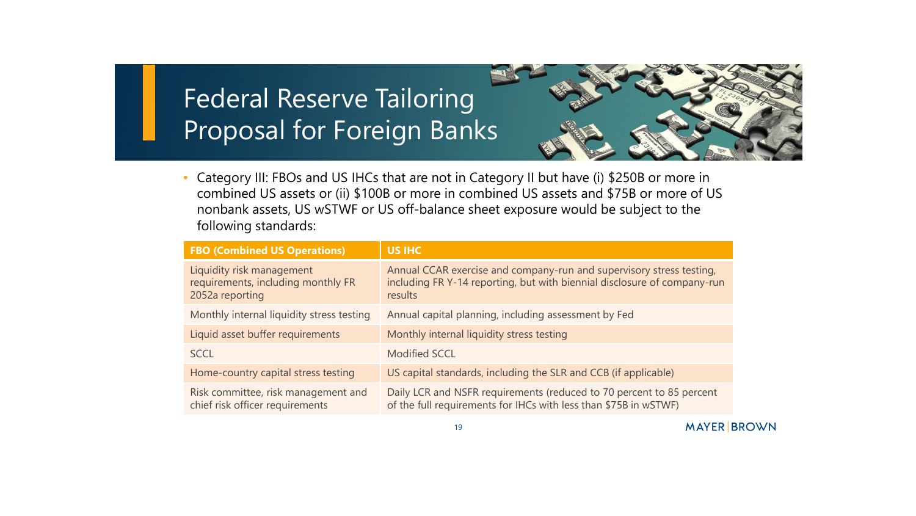

• Category III: FBOs and US IHCs that are not in Category II but have (i) \$250B or more in combined US assets or (ii) \$100B or more in combined US assets and \$75B or more of US nonbank assets, US wSTWF or US off-balance sheet exposure would be subject to the following standards:

| <b>FBO (Combined US Operations)</b>                                                | <b>US IHC</b>                                                                                                                                               |
|------------------------------------------------------------------------------------|-------------------------------------------------------------------------------------------------------------------------------------------------------------|
| Liquidity risk management<br>requirements, including monthly FR<br>2052a reporting | Annual CCAR exercise and company-run and supervisory stress testing,<br>including FR Y-14 reporting, but with biennial disclosure of company-run<br>results |
| Monthly internal liquidity stress testing                                          | Annual capital planning, including assessment by Fed                                                                                                        |
| Liquid asset buffer requirements                                                   | Monthly internal liquidity stress testing                                                                                                                   |
| <b>SCCL</b>                                                                        | <b>Modified SCCL</b>                                                                                                                                        |
| Home-country capital stress testing                                                | US capital standards, including the SLR and CCB (if applicable)                                                                                             |
| Risk committee, risk management and<br>chief risk officer requirements             | Daily LCR and NSFR requirements (reduced to 70 percent to 85 percent<br>of the full requirements for IHCs with less than \$75B in wSTWF)                    |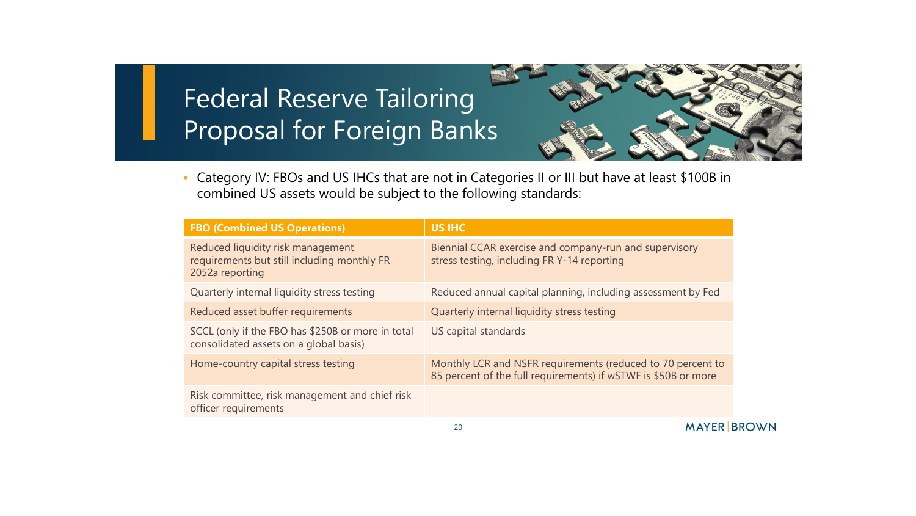

• Category IV: FBOs and US IHCs that are not in Categories II or III but have at least \$100B in combined US assets would be subject to the following standards:

| <b>FBO (Combined US Operations)</b>                                                                 | <b>US IHC</b>                                                                                                                 |
|-----------------------------------------------------------------------------------------------------|-------------------------------------------------------------------------------------------------------------------------------|
| Reduced liquidity risk management<br>requirements but still including monthly FR<br>2052a reporting | Biennial CCAR exercise and company-run and supervisory<br>stress testing, including FR Y-14 reporting                         |
| Quarterly internal liquidity stress testing                                                         | Reduced annual capital planning, including assessment by Fed                                                                  |
| Reduced asset buffer requirements                                                                   | Quarterly internal liquidity stress testing                                                                                   |
| SCCL (only if the FBO has \$250B or more in total<br>consolidated assets on a global basis)         | US capital standards                                                                                                          |
| Home-country capital stress testing                                                                 | Monthly LCR and NSFR requirements (reduced to 70 percent to<br>85 percent of the full requirements) if wSTWF is \$50B or more |
| Risk committee, risk management and chief risk<br>officer requirements                              |                                                                                                                               |
|                                                                                                     | $1.1.11$ $\mu$ $\mu$ $\mu$ $\mu$ $\mu$                                                                                        |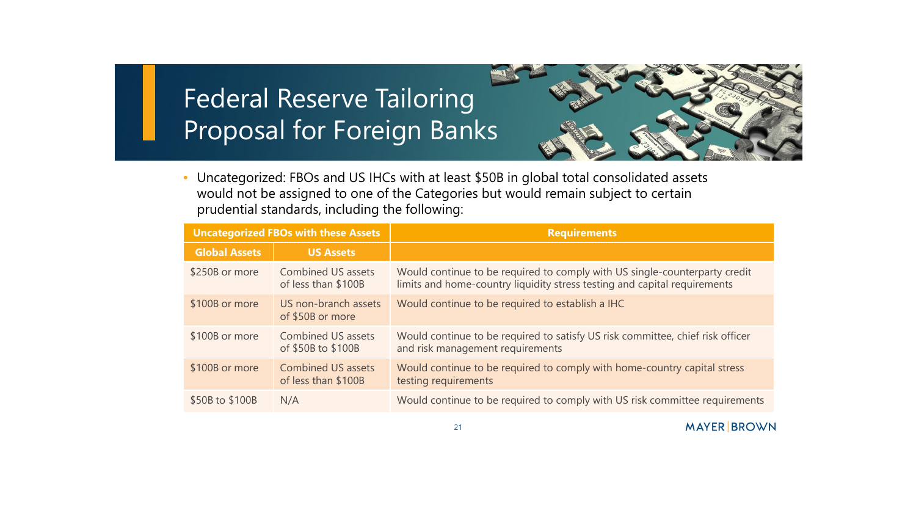

• Uncategorized: FBOs and US IHCs with at least \$50B in global total consolidated assets would not be assigned to one of the Categories but would remain subject to certain prudential standards, including the following:

| <b>Uncategorized FBOs with these Assets</b> |                                                  | <b>Requirements</b>                                                                                                                                     |
|---------------------------------------------|--------------------------------------------------|---------------------------------------------------------------------------------------------------------------------------------------------------------|
| <b>Global Assets</b>                        | <b>US Assets</b>                                 |                                                                                                                                                         |
| \$250B or more                              | <b>Combined US assets</b><br>of less than \$100B | Would continue to be required to comply with US single-counterparty credit<br>limits and home-country liquidity stress testing and capital requirements |
| \$100B or more                              | US non-branch assets<br>of \$50B or more         | Would continue to be required to establish a IHC                                                                                                        |
| \$100B or more                              | <b>Combined US assets</b><br>of \$50B to \$100B  | Would continue to be required to satisfy US risk committee, chief risk officer<br>and risk management requirements                                      |
| \$100B or more                              | <b>Combined US assets</b><br>of less than \$100B | Would continue to be required to comply with home-country capital stress<br>testing requirements                                                        |
| \$50B to \$100B                             | N/A                                              | Would continue to be required to comply with US risk committee requirements                                                                             |

21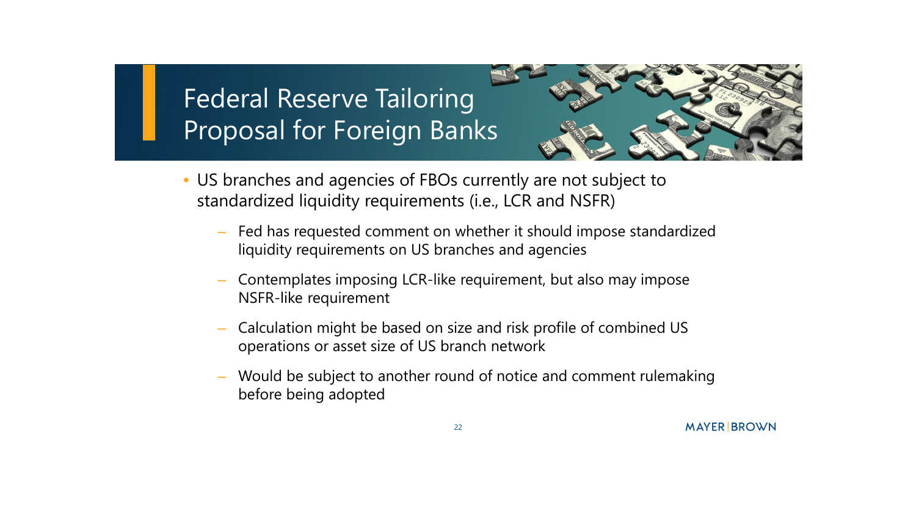

- US branches and agencies of FBOs currently are not subject to standardized liquidity requirements (i.e., LCR and NSFR)
	- Fed has requested comment on whether it should impose standardized liquidity requirements on US branches and agencies
	- Contemplates imposing LCR-like requirement, but also may impose NSFR-like requirement
	- Calculation might be based on size and risk profile of combined US operations or asset size of US branch network
	- Would be subject to another round of notice and comment rulemaking before being adopted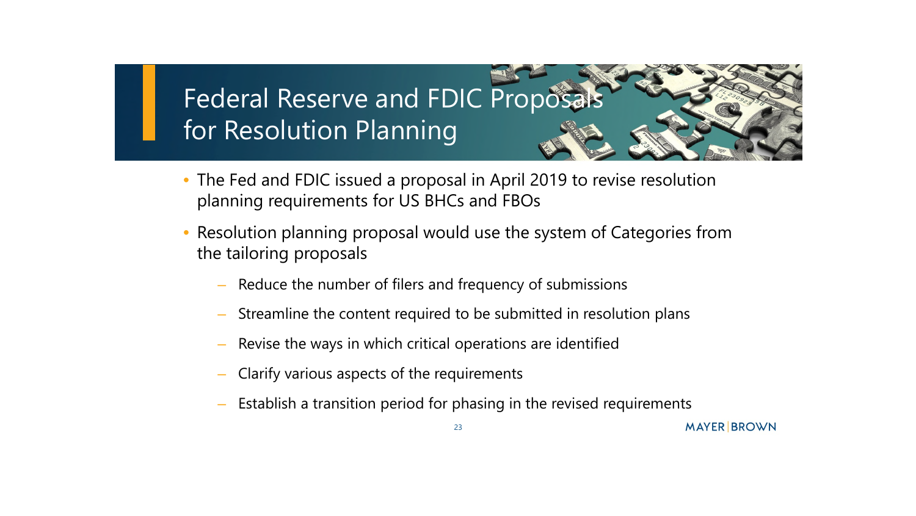## Federal Reserve and FDIC Proposals for Resolution Planning

- The Fed and FDIC issued a proposal in April 2019 to revise resolution planning requirements for US BHCs and FBOs
- Resolution planning proposal would use the system of Categories from the tailoring proposals
	- Reduce the number of filers and frequency of submissions
	- Streamline the content required to be submitted in resolution plans
	- Revise the ways in which critical operations are identified
	- Clarify various aspects of the requirements
	- Establish a transition period for phasing in the revised requirements